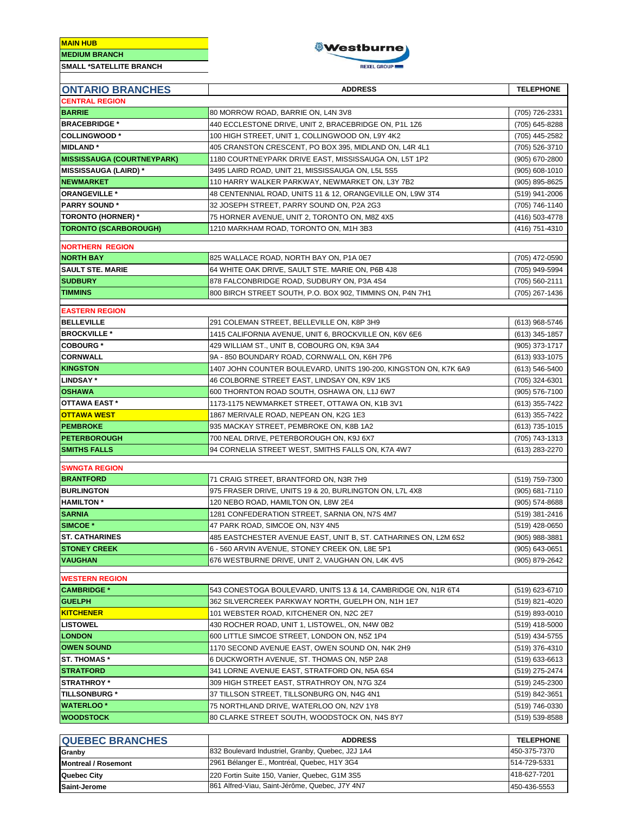**MAIN HUB**



| <b>ONTARIO BRANCHES</b>              | <b>ADDRESS</b>                                                   | <b>TELEPHONE</b>                 |  |  |  |
|--------------------------------------|------------------------------------------------------------------|----------------------------------|--|--|--|
| <b>CENTRAL REGION</b>                |                                                                  |                                  |  |  |  |
| <b>BARRIE</b>                        | 80 MORROW ROAD, BARRIE ON, L4N 3V8                               | (705) 726-2331                   |  |  |  |
|                                      |                                                                  |                                  |  |  |  |
| <b>BRACEBRIDGE *</b>                 | 440 ECCLESTONE DRIVE, UNIT 2, BRACEBRIDGE ON, P1L 1Z6            | (705) 645-8288                   |  |  |  |
| <b>COLLINGWOOD*</b>                  | 100 HIGH STREET, UNIT 1, COLLINGWOOD ON, L9Y 4K2                 | (705) 445-2582                   |  |  |  |
| <b>MIDLAND*</b>                      | 405 CRANSTON CRESCENT, PO BOX 395, MIDLAND ON, L4R 4L1           | (705) 526-3710                   |  |  |  |
| <b>MISSISSAUGA (COURTNEYPARK)</b>    | 1180 COURTNEYPARK DRIVE EAST, MISSISSAUGA ON, L5T 1P2            | (905) 670-2800                   |  |  |  |
| <b>MISSISSAUGA (LAIRD)*</b>          | 3495 LAIRD ROAD, UNIT 21, MISSISSAUGA ON, L5L 5S5                | $(905) 608 - 1010$               |  |  |  |
| <b>NEWMARKET</b>                     | 110 HARRY WALKER PARKWAY, NEWMARKET ON, L3Y 7B2                  | (905) 895-8625                   |  |  |  |
| <b>ORANGEVILLE *</b>                 | 48 CENTENNIAL ROAD, UNITS 11 & 12, ORANGEVILLE ON, L9W 3T4       | (519) 941-2006                   |  |  |  |
| <b>PARRY SOUND*</b>                  | 32 JOSEPH STREET, PARRY SOUND ON, P2A 2G3                        | (705) 746-1140                   |  |  |  |
| <b>TORONTO (HORNER) *</b>            | 75 HORNER AVENUE, UNIT 2, TORONTO ON, M8Z 4X5                    | (416) 503-4778                   |  |  |  |
| <b>TORONTO (SCARBOROUGH)</b>         | 1210 MARKHAM ROAD, TORONTO ON, M1H 3B3                           | (416) 751-4310                   |  |  |  |
| <b>NORTHERN REGION</b>               |                                                                  |                                  |  |  |  |
| <b>NORTH BAY</b>                     | 825 WALLACE ROAD, NORTH BAY ON, P1A 0E7                          | (705) 472-0590                   |  |  |  |
| <b>SAULT STE. MARIE</b>              | 64 WHITE OAK DRIVE, SAULT STE. MARIE ON, P6B 4J8                 | (705) 949-5994                   |  |  |  |
| <b>SUDBURY</b>                       | 878 FALCONBRIDGE ROAD, SUDBURY ON, P3A 4S4                       | (705) 560-2111                   |  |  |  |
| <b>TIMMINS</b>                       | 800 BIRCH STREET SOUTH, P.O. BOX 902, TIMMINS ON, P4N 7H1        | (705) 267-1436                   |  |  |  |
|                                      |                                                                  |                                  |  |  |  |
| <b>EASTERN REGION</b>                |                                                                  |                                  |  |  |  |
| <b>BELLEVILLE</b>                    | 291 COLEMAN STREET, BELLEVILLE ON, K8P 3H9                       | (613) 968-5746                   |  |  |  |
| <b>BROCKVILLE *</b>                  | 1415 CALIFORNIA AVENUE, UNIT 6, BROCKVILLE ON, K6V 6E6           | (613) 345-1857                   |  |  |  |
| <b>COBOURG</b> *                     | 429 WILLIAM ST., UNIT B, COBOURG ON, K9A 3A4                     | (905) 373-1717                   |  |  |  |
| <b>CORNWALL</b>                      | 9A - 850 BOUNDARY ROAD, CORNWALL ON, K6H 7P6                     | (613) 933-1075                   |  |  |  |
| <b>KINGSTON</b>                      | 1407 JOHN COUNTER BOULEVARD, UNITS 190-200, KINGSTON ON, K7K 6A9 | (613) 546-5400                   |  |  |  |
| <b>LINDSAY*</b>                      | 46 COLBORNE STREET EAST, LINDSAY ON, K9V 1K5                     | (705) 324-6301                   |  |  |  |
| <b>OSHAWA</b>                        | 600 THORNTON ROAD SOUTH, OSHAWA ON, L1J 6W7                      | (905) 576-7100                   |  |  |  |
| OTTAWA EAST *                        | 1173-1175 NEWMARKET STREET, OTTAWA ON, K1B 3V1                   | (613) 355-7422                   |  |  |  |
| <b>OTTAWA WEST</b>                   | 1867 MERIVALE ROAD, NEPEAN ON, K2G 1E3                           | (613) 355-7422                   |  |  |  |
| <b>PEMBROKE</b>                      | 935 MACKAY STREET, PEMBROKE ON, K8B 1A2                          | (613) 735-1015                   |  |  |  |
| <b>PETERBOROUGH</b>                  | 700 NEAL DRIVE, PETERBOROUGH ON, K9J 6X7                         | (705) 743-1313                   |  |  |  |
| <b>SMITHS FALLS</b>                  | 94 CORNELIA STREET WEST, SMITHS FALLS ON, K7A 4W7                | (613) 283-2270                   |  |  |  |
| <b>SWNGTA REGION</b>                 |                                                                  |                                  |  |  |  |
| <b>BRANTFORD</b>                     | 71 CRAIG STREET, BRANTFORD ON, N3R 7H9                           | (519) 759-7300                   |  |  |  |
| <b>BURLINGTON</b>                    | 975 FRASER DRIVE, UNITS 19 & 20, BURLINGTON ON, L7L 4X8          | (905) 681-7110                   |  |  |  |
| <b>HAMILTON*</b>                     | 120 NEBO ROAD, HAMILTON ON, L8W 2E4                              | $(905) 574 - 8688$               |  |  |  |
| <b>SARNIA</b>                        | 1281 CONFEDERATION STREET, SARNIA ON, N7S 4M7                    | (519) 381-2416                   |  |  |  |
| SIMCOE *                             | 47 PARK ROAD, SIMCOE ON, N3Y 4N5                                 | (519) 428-0650                   |  |  |  |
| <b>ST. CATHARINES</b>                | 485 EASTCHESTER AVENUE EAST, UNIT B, ST. CATHARINES ON, L2M 6S2  | (905) 988-3881                   |  |  |  |
| <b>STONEY CREEK</b>                  | 6 - 560 ARVIN AVENUE, STONEY CREEK ON, L8E 5P1                   | (905) 643-0651                   |  |  |  |
| <b>VAUGHAN</b>                       | 676 WESTBURNE DRIVE, UNIT 2, VAUGHAN ON, L4K 4V5                 | (905) 879-2642                   |  |  |  |
|                                      |                                                                  |                                  |  |  |  |
| <b>WESTERN REGION</b>                |                                                                  |                                  |  |  |  |
| <b>CAMBRIDGE *</b>                   | 543 CONESTOGA BOULEVARD, UNITS 13 & 14, CAMBRIDGE ON, N1R 6T4    | (519) 623-6710                   |  |  |  |
| <b>GUELPH</b>                        | 362 SILVERCREEK PARKWAY NORTH, GUELPH ON, N1H 1E7                | (519) 821-4020                   |  |  |  |
| <b>KITCHENER</b>                     | 101 WEBSTER ROAD, KITCHENER ON, N2C 2E7                          | (519) 893-0010                   |  |  |  |
| <b>LISTOWEL</b>                      | 430 ROCHER ROAD, UNIT 1, LISTOWEL, ON, N4W 0B2                   | $(519)$ 418-5000                 |  |  |  |
| <b>LONDON</b>                        | 600 LITTLE SIMCOE STREET, LONDON ON, N5Z 1P4                     | (519) 434-5755                   |  |  |  |
| <b>OWEN SOUND</b>                    | 1170 SECOND AVENUE EAST, OWEN SOUND ON, N4K 2H9                  | (519) 376-4310                   |  |  |  |
| <b>ST. THOMAS *</b>                  | 6 DUCKWORTH AVENUE, ST. THOMAS ON, N5P 2A8                       | (519) 633-6613                   |  |  |  |
| <b>STRATFORD</b>                     | 341 LORNE AVENUE EAST, STRATFORD ON, N5A 6S4                     | (519) 275-2474                   |  |  |  |
| <b>STRATHROY</b> *                   | 309 HIGH STREET EAST, STRATHROY ON, N7G 3Z4                      | (519) 245-2300                   |  |  |  |
| <b>TILLSONBURG*</b>                  | 37 TILLSON STREET, TILLSONBURG ON, N4G 4N1                       | (519) 842-3651                   |  |  |  |
| <b>WATERLOO*</b>                     | 75 NORTHLAND DRIVE, WATERLOO ON, N2V 1Y8                         | (519) 746-0330                   |  |  |  |
| <b>WOODSTOCK</b>                     | 80 CLARKE STREET SOUTH, WOODSTOCK ON, N4S 8Y7                    | (519) 539-8588                   |  |  |  |
|                                      | <b>ADDRESS</b>                                                   |                                  |  |  |  |
| <b>QUEBEC BRANCHES</b>               | 832 Boulevard Industriel, Granby, Quebec, J2J 1A4                | <b>TELEPHONE</b><br>450-375-7370 |  |  |  |
| Granby<br><b>Montreal / Rosemont</b> | 2961 Bélanger E., Montréal, Quebec, H1Y 3G4                      | 514-729-5331                     |  |  |  |
|                                      |                                                                  |                                  |  |  |  |

**Quebec City** 220 Fortin Suite 150, Vanier, Quebec, G1M 3S5 418-627-7201 **Saint-Jerome** 861 Alfred-Viau, Saint-Jérôme, Quebec, J7Y 4N7 480-436-5553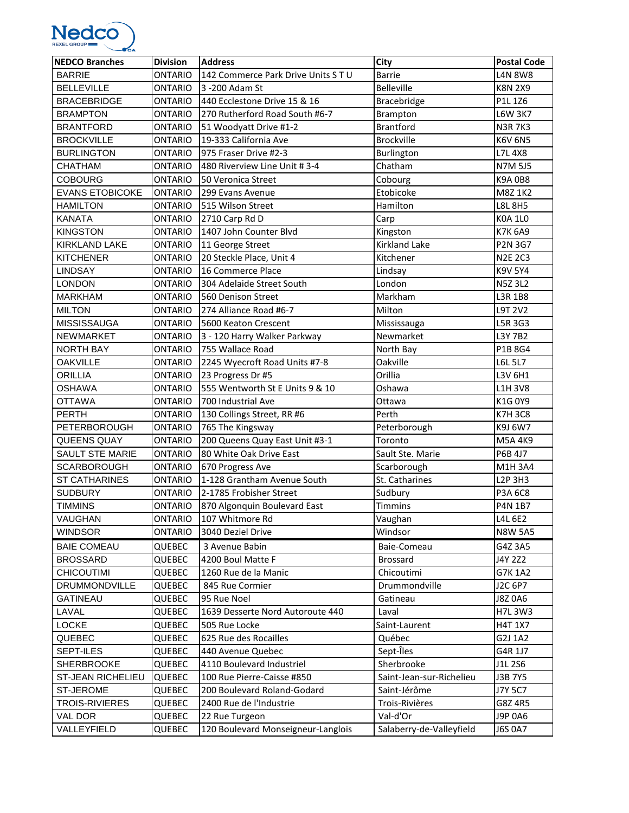

| <b>NEDCO Branches</b>  | <b>Division</b> | <b>Address</b>                      | City                     | <b>Postal Code</b> |
|------------------------|-----------------|-------------------------------------|--------------------------|--------------------|
| <b>BARRIE</b>          | <b>ONTARIO</b>  | 142 Commerce Park Drive Units S T U | <b>Barrie</b>            | <b>L4N 8W8</b>     |
| <b>BELLEVILLE</b>      | <b>ONTARIO</b>  | 3 - 200 Adam St                     | Belleville               | <b>K8N 2X9</b>     |
| <b>BRACEBRIDGE</b>     | <b>ONTARIO</b>  | 440 Ecclestone Drive 15 & 16        | Bracebridge              | P1L 1Z6            |
| <b>BRAMPTON</b>        | <b>ONTARIO</b>  | 270 Rutherford Road South #6-7      | Brampton                 | <b>L6W 3K7</b>     |
| <b>BRANTFORD</b>       | <b>ONTARIO</b>  | 51 Woodyatt Drive #1-2              | <b>Brantford</b>         | <b>N3R7K3</b>      |
| <b>BROCKVILLE</b>      | <b>ONTARIO</b>  | 19-333 California Ave               | <b>Brockville</b>        | <b>K6V 6N5</b>     |
| <b>BURLINGTON</b>      | <b>ONTARIO</b>  | 975 Fraser Drive #2-3               | Burlington               | L7L 4X8            |
| <b>CHATHAM</b>         | <b>ONTARIO</b>  | 480 Riverview Line Unit #3-4        | Chatham                  | N7M 5J5            |
| <b>COBOURG</b>         | <b>ONTARIO</b>  | 50 Veronica Street                  | Cobourg                  | <b>K9A0B8</b>      |
| <b>EVANS ETOBICOKE</b> | <b>ONTARIO</b>  | 299 Evans Avenue                    | Etobicoke                | M8Z 1K2            |
| <b>HAMILTON</b>        | <b>ONTARIO</b>  | 515 Wilson Street                   | Hamilton                 | <b>L8L 8H5</b>     |
| <b>KANATA</b>          | <b>ONTARIO</b>  | 2710 Carp Rd D                      | Carp                     | <b>K0A 1L0</b>     |
| <b>KINGSTON</b>        | <b>ONTARIO</b>  | 1407 John Counter Blvd              | Kingston                 | <b>K7K 6A9</b>     |
| <b>KIRKLAND LAKE</b>   | <b>ONTARIO</b>  | 11 George Street                    | <b>Kirkland Lake</b>     | <b>P2N 3G7</b>     |
| <b>KITCHENER</b>       | <b>ONTARIO</b>  | 20 Steckle Place, Unit 4            | Kitchener                | <b>N2E 2C3</b>     |
| <b>LINDSAY</b>         | <b>ONTARIO</b>  | 16 Commerce Place                   | Lindsay                  | <b>K9V 5Y4</b>     |
| <b>LONDON</b>          | <b>ONTARIO</b>  | 304 Adelaide Street South           | London                   | <b>N5Z3L2</b>      |
| <b>MARKHAM</b>         | <b>ONTARIO</b>  | 560 Denison Street                  | Markham                  | <b>L3R 1B8</b>     |
| <b>MILTON</b>          | <b>ONTARIO</b>  | 274 Alliance Road #6-7              | Milton                   | L9T 2V2            |
| <b>MISSISSAUGA</b>     | <b>ONTARIO</b>  | 5600 Keaton Crescent                | Mississauga              | L5R 3G3            |
| NEWMARKET              | <b>ONTARIO</b>  | 3 - 120 Harry Walker Parkway        | Newmarket                | L3Y 7B2            |
| <b>NORTH BAY</b>       | <b>ONTARIO</b>  | 755 Wallace Road                    | North Bay                | P1B 8G4            |
| <b>OAKVILLE</b>        | <b>ONTARIO</b>  | 2245 Wyecroft Road Units #7-8       | Oakville                 | L6L 5L7            |
| <b>ORILLIA</b>         | <b>ONTARIO</b>  | 23 Progress Dr #5                   | Orillia                  | L3V 6H1            |
| <b>OSHAWA</b>          | <b>ONTARIO</b>  | 555 Wentworth St E Units 9 & 10     | Oshawa                   | <b>L1H 3V8</b>     |
| <b>OTTAWA</b>          | <b>ONTARIO</b>  | 700 Industrial Ave                  | Ottawa                   | K1G 0Y9            |
| <b>PERTH</b>           | <b>ONTARIO</b>  | 130 Collings Street, RR #6          | Perth                    | <b>K7H3C8</b>      |
| <b>PETERBOROUGH</b>    | <b>ONTARIO</b>  | 765 The Kingsway                    | Peterborough             | K9J 6W7            |
| QUEENS QUAY            | <b>ONTARIO</b>  | 200 Queens Quay East Unit #3-1      | Toronto                  | M5A 4K9            |
| <b>SAULT STE MARIE</b> | <b>ONTARIO</b>  | 80 White Oak Drive East             | Sault Ste. Marie         | P6B 4J7            |
| <b>SCARBOROUGH</b>     | <b>ONTARIO</b>  | 670 Progress Ave                    | Scarborough              | M1H 3A4            |
| <b>ST CATHARINES</b>   | <b>ONTARIO</b>  | 1-128 Grantham Avenue South         | St. Catharines           | L2P 3H3            |
| <b>SUDBURY</b>         | <b>ONTARIO</b>  | 2-1785 Frobisher Street             | Sudbury                  | P3A 6C8            |
| <b>TIMMINS</b>         | ONTARIO         | 870 Algonquin Boulevard East        | <b>Timmins</b>           | P4N 1B7            |
| VAUGHAN                | <b>ONTARIO</b>  | 107 Whitmore Rd                     | Vaughan                  | L4L 6E2            |
| <b>WINDSOR</b>         | <b>ONTARIO</b>  | 3040 Deziel Drive                   | Windsor                  | <b>N8W 5A5</b>     |
| <b>BAIE COMEAU</b>     | <b>QUEBEC</b>   | 3 Avenue Babin                      | Baie-Comeau              | G4Z 3A5            |
| <b>BROSSARD</b>        | QUEBEC          | 4200 Boul Matte F                   | <b>Brossard</b>          | J4Y 2Z2            |
| <b>CHICOUTIMI</b>      | QUEBEC          | 1260 Rue de la Manic                | Chicoutimi               | G7K 1A2            |
| <b>DRUMMONDVILLE</b>   | QUEBEC          | 845 Rue Cormier                     | Drummondville            | J2C 6P7            |
| <b>GATINEAU</b>        | <b>QUEBEC</b>   | 95 Rue Noel                         | Gatineau                 | J8Z 0A6            |
| LAVAL                  | QUEBEC          | 1639 Desserte Nord Autoroute 440    | Laval                    | H7L 3W3            |
| LOCKE                  | QUEBEC          | 505 Rue Locke                       | Saint-Laurent            | <b>H4T 1X7</b>     |
| QUEBEC                 | <b>QUEBEC</b>   | 625 Rue des Rocailles               | Québec                   | G2J 1A2            |
| SEPT-ILES              | QUEBEC          | 440 Avenue Quebec                   | Sept-Îles                | G4R 1J7            |
| <b>SHERBROOKE</b>      | <b>QUEBEC</b>   | 4110 Boulevard Industriel           | Sherbrooke               | J1L 2S6            |
| ST-JEAN RICHELIEU      | QUEBEC          | 100 Rue Pierre-Caisse #850          | Saint-Jean-sur-Richelieu | J3B 7Y5            |
| ST-JEROME              | <b>QUEBEC</b>   | 200 Boulevard Roland-Godard         | Saint-Jérôme             | <b>J7Y 5C7</b>     |
| <b>TROIS-RIVIERES</b>  | <b>QUEBEC</b>   | 2400 Rue de l'Industrie             | Trois-Rivières           | G8Z 4R5            |
| VAL DOR                | QUEBEC          | 22 Rue Turgeon                      | Val-d'Or                 | J9P 0A6            |
| VALLEYFIELD            | QUEBEC          | 120 Boulevard Monseigneur-Langlois  | Salaberry-de-Valleyfield | <b>J6S 0A7</b>     |